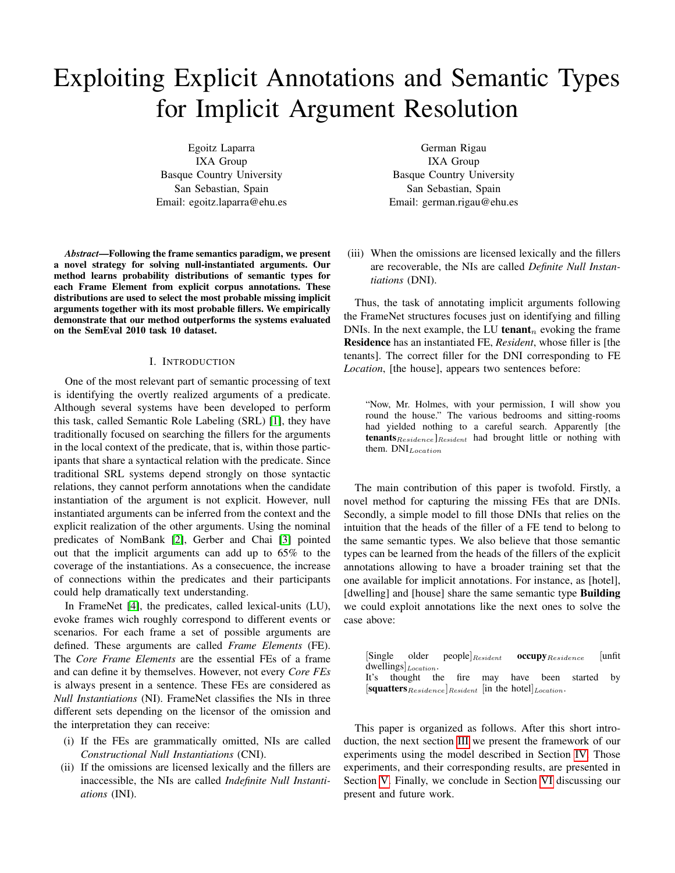# Exploiting Explicit Annotations and Semantic Types for Implicit Argument Resolution

Egoitz Laparra IXA Group Basque Country University San Sebastian, Spain Email: egoitz.laparra@ehu.es

*Abstract*—Following the frame semantics paradigm, we present a novel strategy for solving null-instantiated arguments. Our method learns probability distributions of semantic types for each Frame Element from explicit corpus annotations. These distributions are used to select the most probable missing implicit arguments together with its most probable fillers. We empirically demonstrate that our method outperforms the systems evaluated on the SemEval 2010 task 10 dataset.

# I. INTRODUCTION

One of the most relevant part of semantic processing of text is identifying the overtly realized arguments of a predicate. Although several systems have been developed to perform this task, called Semantic Role Labeling (SRL) [\[1\]](#page-3-0), they have traditionally focused on searching the fillers for the arguments in the local context of the predicate, that is, within those participants that share a syntactical relation with the predicate. Since traditional SRL systems depend strongly on those syntactic relations, they cannot perform annotations when the candidate instantiation of the argument is not explicit. However, null instantiated arguments can be inferred from the context and the explicit realization of the other arguments. Using the nominal predicates of NomBank [\[2\]](#page-3-1), Gerber and Chai [\[3\]](#page-3-2) pointed out that the implicit arguments can add up to 65% to the coverage of the instantiations. As a consecuence, the increase of connections within the predicates and their participants could help dramatically text understanding.

In FrameNet [\[4\]](#page-3-3), the predicates, called lexical-units (LU), evoke frames wich roughly correspond to different events or scenarios. For each frame a set of possible arguments are defined. These arguments are called *Frame Elements* (FE). The *Core Frame Elements* are the essential FEs of a frame and can define it by themselves. However, not every *Core FEs* is always present in a sentence. These FEs are considered as *Null Instantiations* (NI). FrameNet classifies the NIs in three different sets depending on the licensor of the omission and the interpretation they can receive:

- (i) If the FEs are grammatically omitted, NIs are called *Constructional Null Instantiations* (CNI).
- (ii) If the omissions are licensed lexically and the fillers are inaccessible, the NIs are called *Indefinite Null Instantiations* (INI).

German Rigau IXA Group Basque Country University San Sebastian, Spain Email: german.rigau@ehu.es

(iii) When the omissions are licensed lexically and the fillers are recoverable, the NIs are called *Definite Null Instantiations* (DNI).

Thus, the task of annotating implicit arguments following the FrameNet structures focuses just on identifying and filling DNIs. In the next example, the LU tenant<sub>n</sub> evoking the frame Residence has an instantiated FE, *Resident*, whose filler is [the tenants]. The correct filler for the DNI corresponding to FE *Location*, [the house], appears two sentences before:

"Now, Mr. Holmes, with your permission, I will show you round the house." The various bedrooms and sitting-rooms had yielded nothing to a careful search. Apparently [the tenants  $Residence$  Resident had brought little or nothing with them. DNI<sub>Location</sub>

The main contribution of this paper is twofold. Firstly, a novel method for capturing the missing FEs that are DNIs. Secondly, a simple model to fill those DNIs that relies on the intuition that the heads of the filler of a FE tend to belong to the same semantic types. We also believe that those semantic types can be learned from the heads of the fillers of the explicit annotations allowing to have a broader training set that the one available for implicit annotations. For instance, as [hotel], [dwelling] and [house] share the same semantic type **Building** we could exploit annotations like the next ones to solve the case above:

| $[\text{Single} \quad \text{older} \quad \text{people}]_{Resident}$        |  |  | $\mathbf{occupy}_{Residence}$ | <b>unfit</b> |
|----------------------------------------------------------------------------|--|--|-------------------------------|--------------|
| dwellings $_{Location}$ .                                                  |  |  |                               |              |
| It's thought the fire may have been started                                |  |  |                               | bv           |
| $[\text{squareRes}_{Residence}]_{Resident}$ [in the hotel] $_{Location}$ . |  |  |                               |              |

This paper is organized as follows. After this short introduction, the next section [III](#page-1-0) we present the framework of our experiments using the model described in Section [IV.](#page-1-1) Those experiments, and their corresponding results, are presented in Section [V.](#page-2-0) Finally, we conclude in Section [VI](#page-3-4) discussing our present and future work.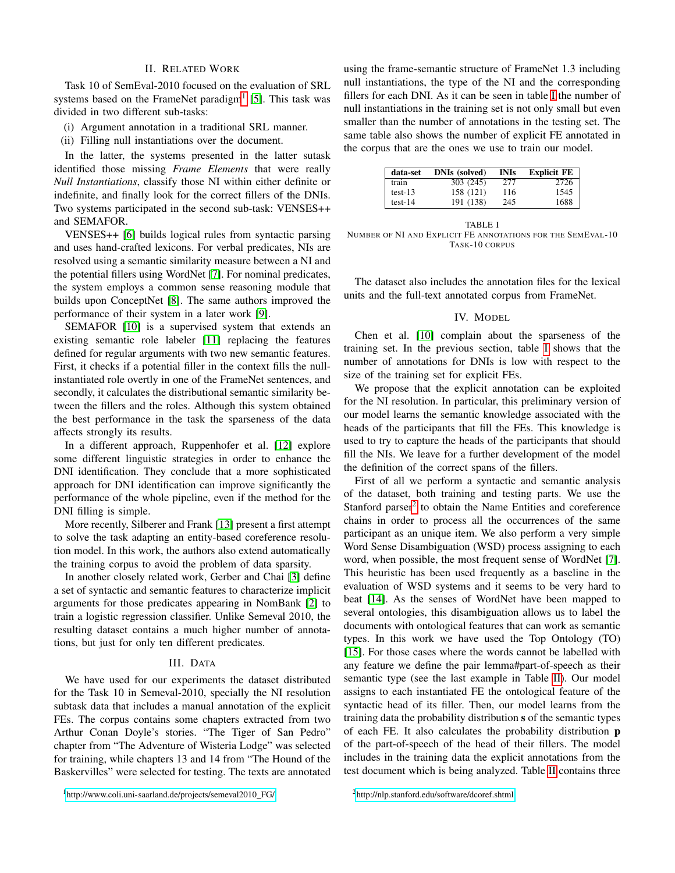#### II. RELATED WORK

Task 10 of SemEval-2010 focused on the evaluation of SRL systems based on the FrameNet paradigm<sup>[1](#page-1-2)</sup> [\[5\]](#page-3-5). This task was divided in two different sub-tasks:

- (i) Argument annotation in a traditional SRL manner.
- (ii) Filling null instantiations over the document.

In the latter, the systems presented in the latter sutask identified those missing *Frame Elements* that were really *Null Instantiations*, classify those NI within either definite or indefinite, and finally look for the correct fillers of the DNIs. Two systems participated in the second sub-task: VENSES++ and SEMAFOR.

VENSES++ [\[6\]](#page-3-6) builds logical rules from syntactic parsing and uses hand-crafted lexicons. For verbal predicates, NIs are resolved using a semantic similarity measure between a NI and the potential fillers using WordNet [\[7\]](#page-3-7). For nominal predicates, the system employs a common sense reasoning module that builds upon ConceptNet [\[8\]](#page-3-8). The same authors improved the performance of their system in a later work [\[9\]](#page-3-9).

SEMAFOR [\[10\]](#page-3-10) is a supervised system that extends an existing semantic role labeler [\[11\]](#page-3-11) replacing the features defined for regular arguments with two new semantic features. First, it checks if a potential filler in the context fills the nullinstantiated role overtly in one of the FrameNet sentences, and secondly, it calculates the distributional semantic similarity between the fillers and the roles. Although this system obtained the best performance in the task the sparseness of the data affects strongly its results.

In a different approach, Ruppenhofer et al. [\[12\]](#page-3-12) explore some different linguistic strategies in order to enhance the DNI identification. They conclude that a more sophisticated approach for DNI identification can improve significantly the performance of the whole pipeline, even if the method for the DNI filling is simple.

More recently, Silberer and Frank [\[13\]](#page-3-13) present a first attempt to solve the task adapting an entity-based coreference resolution model. In this work, the authors also extend automatically the training corpus to avoid the problem of data sparsity.

In another closely related work, Gerber and Chai [\[3\]](#page-3-2) define a set of syntactic and semantic features to characterize implicit arguments for those predicates appearing in NomBank [\[2\]](#page-3-1) to train a logistic regression classifier. Unlike Semeval 2010, the resulting dataset contains a much higher number of annotations, but just for only ten different predicates.

### III. DATA

<span id="page-1-0"></span>We have used for our experiments the dataset distributed for the Task 10 in Semeval-2010, specially the NI resolution subtask data that includes a manual annotation of the explicit FEs. The corpus contains some chapters extracted from two Arthur Conan Doyle's stories. "The Tiger of San Pedro" chapter from "The Adventure of Wisteria Lodge" was selected for training, while chapters 13 and 14 from "The Hound of the Baskervilles" were selected for testing. The texts are annotated

<span id="page-1-2"></span><sup>1</sup>[http://www.coli.uni-saarland.de/projects/semeval2010](http://www.coli.uni-saarland.de/projects/semeval2010_FG/) FG/

using the frame-semantic structure of FrameNet 1.3 including null instantiations, the type of the NI and the corresponding fillers for each DNI. As it can be seen in table [I](#page-1-3) the number of null instantiations in the training set is not only small but even smaller than the number of annotations in the testing set. The same table also shows the number of explicit FE annotated in the corpus that are the ones we use to train our model.

| data-set  | <b>DNIs</b> (solved) | <b>INIs</b> | <b>Explicit FE</b> |
|-----------|----------------------|-------------|--------------------|
| train     | 303 (245)            | 277         | 2726               |
| $test-13$ | 158 (121)            | 116         | 1545               |
| $test-14$ | 191 (138)            | 245         | 1688               |

<span id="page-1-3"></span>TABLE I NUMBER OF NI AND EXPLICIT FE ANNOTATIONS FOR THE SEMEVAL-10 TASK-10 CORPUS

The dataset also includes the annotation files for the lexical units and the full-text annotated corpus from FrameNet.

# IV. MODEL

<span id="page-1-1"></span>Chen et al. [\[10\]](#page-3-10) complain about the sparseness of the training set. In the previous section, table [I](#page-1-3) shows that the number of annotations for DNIs is low with respect to the size of the training set for explicit FEs.

We propose that the explicit annotation can be exploited for the NI resolution. In particular, this preliminary version of our model learns the semantic knowledge associated with the heads of the participants that fill the FEs. This knowledge is used to try to capture the heads of the participants that should fill the NIs. We leave for a further development of the model the definition of the correct spans of the fillers.

First of all we perform a syntactic and semantic analysis of the dataset, both training and testing parts. We use the Stanford parser<sup>[2](#page-1-4)</sup> to obtain the Name Entities and coreference chains in order to process all the occurrences of the same participant as an unique item. We also perform a very simple Word Sense Disambiguation (WSD) process assigning to each word, when possible, the most frequent sense of WordNet [\[7\]](#page-3-7). This heuristic has been used frequently as a baseline in the evaluation of WSD systems and it seems to be very hard to beat [\[14\]](#page-3-14). As the senses of WordNet have been mapped to several ontologies, this disambiguation allows us to label the documents with ontological features that can work as semantic types. In this work we have used the Top Ontology (TO) [\[15\]](#page-3-15). For those cases where the words cannot be labelled with any feature we define the pair lemma#part-of-speech as their semantic type (see the last example in Table [II\)](#page-2-1). Our model assigns to each instantiated FE the ontological feature of the syntactic head of its filler. Then, our model learns from the training data the probability distribution s of the semantic types of each FE. It also calculates the probability distribution p of the part-of-speech of the head of their fillers. The model includes in the training data the explicit annotations from the test document which is being analyzed. Table [II](#page-2-1) contains three

<span id="page-1-4"></span><sup>2</sup><http://nlp.stanford.edu/software/dcoref.shtml>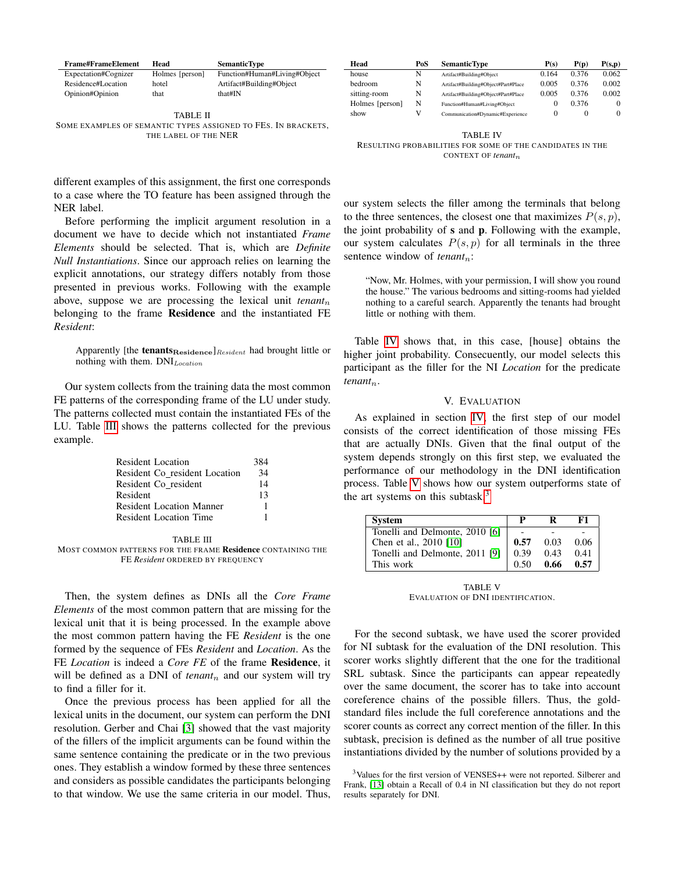| <b>Frame#FrameElement</b> | Head            | <b>SemanticType</b>          |
|---------------------------|-----------------|------------------------------|
| Expectation#Cognizer      | Holmes [person] | Function#Human#Living#Object |
| Residence#Location        | hotel           | Artifact#Building#Object     |
| Opinion#Opinion           | that            | that#IN                      |

<span id="page-2-1"></span>TABLE II SOME EXAMPLES OF SEMANTIC TYPES ASSIGNED TO FES. IN BRACKETS, THE LABEL OF THE NER

different examples of this assignment, the first one corresponds to a case where the TO feature has been assigned through the NER label.

Before performing the implicit argument resolution in a document we have to decide which not instantiated *Frame Elements* should be selected. That is, which are *Definite Null Instantiations*. Since our approach relies on learning the explicit annotations, our strategy differs notably from those presented in previous works. Following with the example above, suppose we are processing the lexical unit *tenant*<sub>n</sub> belonging to the frame Residence and the instantiated FE *Resident*:

Apparently [the tenantsResidence] Resident had brought little or nothing with them.  $DNI_{Location}$ 

Our system collects from the training data the most common FE patterns of the corresponding frame of the LU under study. The patterns collected must contain the instantiated FEs of the LU. Table [III](#page-2-2) shows the patterns collected for the previous example.

| <b>Resident Location</b>        | 384 |
|---------------------------------|-----|
| Resident Co resident Location   | 34  |
| Resident Co resident            | 14  |
| Resident                        | 13  |
| <b>Resident Location Manner</b> | 1   |
| <b>Resident Location Time</b>   | 1   |

<span id="page-2-2"></span>TABLE III MOST COMMON PATTERNS FOR THE FRAME Residence CONTAINING THE FE *Resident* ORDERED BY FREQUENCY

Then, the system defines as DNIs all the *Core Frame Elements* of the most common pattern that are missing for the lexical unit that it is being processed. In the example above the most common pattern having the FE *Resident* is the one formed by the sequence of FEs *Resident* and *Location*. As the FE *Location* is indeed a *Core FE* of the frame Residence, it will be defined as a DNI of  $tenant_n$  and our system will try to find a filler for it.

Once the previous process has been applied for all the lexical units in the document, our system can perform the DNI resolution. Gerber and Chai [\[3\]](#page-3-2) showed that the vast majority of the fillers of the implicit arguments can be found within the same sentence containing the predicate or in the two previous ones. They establish a window formed by these three sentences and considers as possible candidates the participants belonging to that window. We use the same criteria in our model. Thus,

| Head            | PoS | <b>SemanticType</b>                 | P(s)     | P(p)     | P(s,p) |
|-----------------|-----|-------------------------------------|----------|----------|--------|
| house           | N   | Artifact#Building#Object            | 0.164    | 0.376    | 0.062  |
| bedroom         | N   | Artifact#Building#Object#Part#Place | 0.005    | 0.376    | 0.002  |
| sitting-room    | N   | Artifact#Building#Object#Part#Place | 0.005    | 0.376    | 0.002  |
| Holmes [person] | N   | Function#Human#Living#Object        | $\Omega$ | 0.376    |        |
| show            |     | Communication#Dynamic#Experience    | $\Omega$ | $\Omega$ |        |

<span id="page-2-3"></span>TABLE IV RESULTING PROBABILITIES FOR SOME OF THE CANDIDATES IN THE CONTEXT OF *tenant*<sub>n</sub>

our system selects the filler among the terminals that belong to the three sentences, the closest one that maximizes  $P(s, p)$ , the joint probability of s and p. Following with the example, our system calculates  $P(s, p)$  for all terminals in the three sentence window of *tenant<sub>n</sub>*:

"Now, Mr. Holmes, with your permission, I will show you round the house." The various bedrooms and sitting-rooms had yielded nothing to a careful search. Apparently the tenants had brought little or nothing with them.

Table [IV](#page-2-3) shows that, in this case, [house] obtains the higher joint probability. Consecuently, our model selects this participant as the filler for the NI *Location* for the predicate  $t$ *enant<sub>n</sub>*.

### V. EVALUATION

<span id="page-2-0"></span>As explained in section [IV,](#page-1-1) the first step of our model consists of the correct identification of those missing FEs that are actually DNIs. Given that the final output of the system depends strongly on this first step, we evaluated the performance of our methodology in the DNI identification process. Table [V](#page-2-4) shows how our system outperforms state of the art systems on this subtask.<sup>[3](#page-2-5)</sup>

| <b>System</b>                                | р    |      | к1   |
|----------------------------------------------|------|------|------|
| Tonelli and Delmonte, 2010 [6]               |      |      |      |
| Chen et al., 2010 [10]                       | 0.57 | 0.03 | 0.06 |
| Tonelli and Delmonte, $2011$ [9] $\mid$ 0.39 |      | 0.43 | 0.41 |
| This work                                    | 0.50 | 0.66 | 0.57 |

TABLE V EVALUATION OF DNI IDENTIFICATION.

<span id="page-2-4"></span>For the second subtask, we have used the scorer provided for NI subtask for the evaluation of the DNI resolution. This scorer works slightly different that the one for the traditional SRL subtask. Since the participants can appear repeatedly over the same document, the scorer has to take into account coreference chains of the possible fillers. Thus, the goldstandard files include the full coreference annotations and the scorer counts as correct any correct mention of the filler. In this subtask, precision is defined as the number of all true positive instantiations divided by the number of solutions provided by a

<span id="page-2-5"></span><sup>&</sup>lt;sup>3</sup>Values for the first version of VENSES++ were not reported. Silberer and Frank, [\[13\]](#page-3-13) obtain a Recall of 0.4 in NI classification but they do not report results separately for DNI.